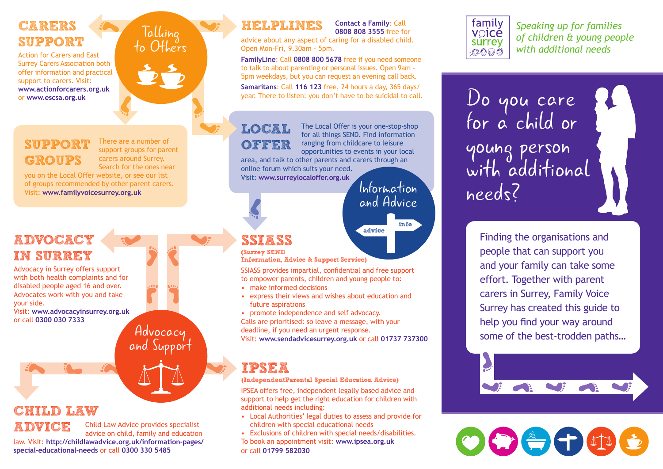### CARERS SUPPORT

Action for Carers and East Surrey Carers Association both offer information and practical support to carers. Visit: **www.actionforcarers.org.uk** or **www.escsa.org.uk**

#### SUPPORT **GROUPS**

There are a number of support groups for parent carers around Surrey. Search for the ones near

Talking to Others

you on the Local Offer website, or see our list of groups recommended by other parent carers. Visit: **www.familyvoicesurrey.org.uk**

# **ADVOCACY** IN SURREY

Advocacy in Surrey offers support with both health complaints and for disabled people aged 16 and over. Advocates work with you and take your side.

Visit: **www.advocacyinsurrey.org.uk** or call **0300 030 7333**

# CHILD LAW



Child Law Advice provides specialist advice on child, family and education

Advocacy and Support

law. Visit: **http://childlawadvice.org.uk/information-pages/ special-educational-needs** or call **0300 330 5485**

**Contact a Family**: Call **0808 808 3555** free for

advice about any aspect of caring for a disabled child. Open Mon-Fri, 9.30am - 5pm.

**FamilyLine**: Call **0808 800 5678** free if you need someone to talk to about parenting or personal issues. Open 9am - 5pm weekdays, but you can request an evening call back. **Samaritans**: Call **116 123** free, 24 hours a day, 365 days/ year. There to listen: you don't have to be suicidal to call.

# LOCAL OFFER

The Local Offer is your one-stop-shop for all things SEND. Find information ranging from childcare to leisure opportunities to events in your local area, and talk to other parents and carers through an online forum which suits your need.

advice

Visit: **www.surreylocaloffer.org.uk**

Information and Advice

info

# SSIASS

(Surrey SEND Information, Advice & Support Service)

SSIASS provides impartial, confidential and free support to empower parents, children and young people to:

- make informed decisions
- express their views and wishes about education and future aspirations

• promote independence and self advocacy. Calls are prioritised: so leave a message, with your deadline, if you need an urgent response. Visit: **www.sendadvicesurrey.org.uk** or call **01737 737300**

# IPSEA

#### (IndependentParental Special Education Advice)

IPSEA offers free, independent legally based advice and support to help get the right education for children with additional needs including:

- Local Authorities' legal duties to assess and provide for children with special educational needs
- Exclusions of children with special needs/disabilities. To book an appointment visit: **www.ipsea.org.uk** or call **01799 582030**



**HELPLINES** Contact a Family: Call **Speaking up for families Speaking up for families Speaking up for families** *of children & young people with additional needs*

> Do you care for a child or young person with additional needs?

> > Finding the organisations and people that can support you and your family can take some effort. Together with parent carers in Surrey, Family Voice Surrey has created this guide to help you find your way around some of the best-trodden paths…